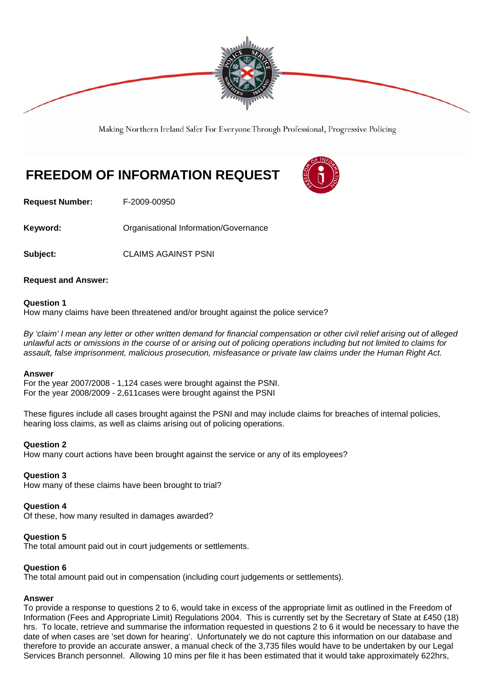

Making Northern Ireland Safer For Everyone Through Professional, Progressive Policing

# **FREEDOM OF INFORMATION REQUEST**



**Request Number:** F-2009-00950

**Keyword: Comparent Contracts** Organisational Information/Governance

**Subject:** CLAIMS AGAINST PSNI

## **Request and Answer:**

## **Question 1**

How many claims have been threatened and/or brought against the police service?

*By 'claim' I mean any letter or other written demand for financial compensation or other civil relief arising out of alleged unlawful acts or omissions in the course of or arising out of policing operations including but not limited to claims for assault, false imprisonment, malicious prosecution, misfeasance or private law claims under the Human Right Act.*

### **Answer**

For the year 2007/2008 - 1,124 cases were brought against the PSNI. For the year 2008/2009 - 2,611cases were brought against the PSNI

These figures include all cases brought against the PSNI and may include claims for breaches of internal policies, hearing loss claims, as well as claims arising out of policing operations.

### **Question 2**

How many court actions have been brought against the service or any of its employees?

### **Question 3**

How many of these claims have been brought to trial?

### **Question 4**

Of these, how many resulted in damages awarded?

### **Question 5**

The total amount paid out in court judgements or settlements.

### **Question 6**

The total amount paid out in compensation (including court judgements or settlements).

### **Answer**

To provide a response to questions 2 to 6, would take in excess of the appropriate limit as outlined in the Freedom of Information (Fees and Appropriate Limit) Regulations 2004. This is currently set by the Secretary of State at £450 (18) hrs. To locate, retrieve and summarise the information requested in questions 2 to 6 it would be necessary to have the date of when cases are 'set down for hearing'. Unfortunately we do not capture this information on our database and therefore to provide an accurate answer, a manual check of the 3,735 files would have to be undertaken by our Legal Services Branch personnel. Allowing 10 mins per file it has been estimated that it would take approximately 622hrs,